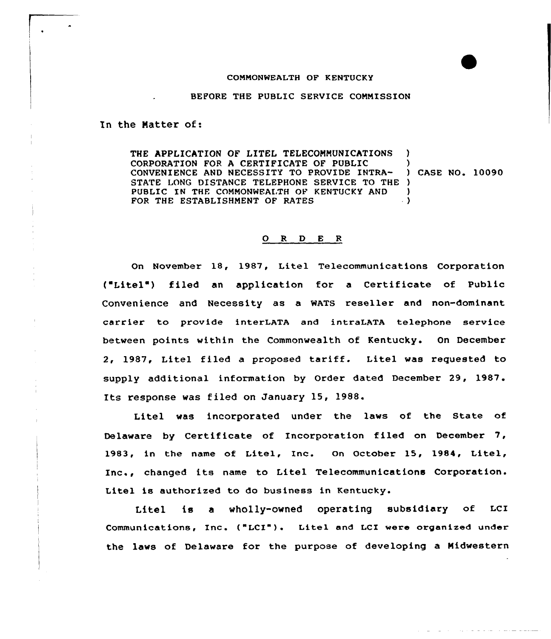### COMMONWEALTH OF KENTUCKY

#### BEFORE THE PUBLIC SERVICE COMMISSION

In the Matter of:

THE APPLICATION OF LITEL TELECOMMUNICATIONS ) CORPORATION FOR A CERTIFICATE OF PUBLIC CONVENIENCE AND NECESSITY TO PROVIDE INTRA-) CASE NO. 10090 STATE LONG DISTANCE TELEPHONE SERVICE TO THE ) PUBLIC IN THE COMMONWEALTH OF KENTUCKY AND FOR THE ESTABLISHMENT OF RATES ) ) )

## 0 <sup>R</sup> <sup>D</sup> <sup>E</sup> <sup>R</sup>

On November 18, 1987, Litel Telecommunications Corporation ("Litel") filed an application for a Certificate of Public Convenience and Necessity as a WATS reseller and non-dominant carrier to provide interLATA and intraLATA telephone service between points within the Commonwealth of Kentucky. On December 2, 1987, Litel filed <sup>a</sup> proposed tariff. Litel was requested to supply additional information by Order dated December 29, 1987. Its response was filed on January 15, 1988.

Litel was incorporated under the laws of the State of Delaware by Certificate of Incorporation filed on December 7, 1983, in the name of Litel, Inc. On October 15, 1984, Litel, Inc., changed its name to Litel Telecommunications Corporation. Litel is authorized to do business in Kentucky.

Litel is a wholly-owned operating subsidiary of LCI Communications, Inc. ("LCI"). Litel and LCI were organized under the laws of Delaware for the purpose of developing a Midwestern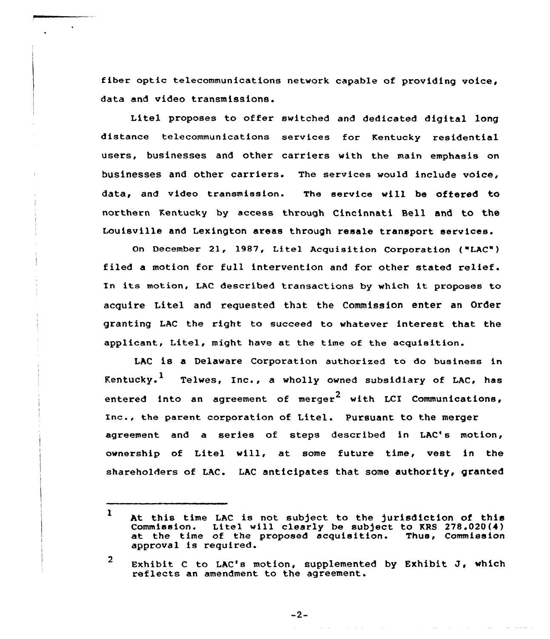fiber optic telecommunications network capable of providing voice, data and video transmissions.

Litel proposes to offer switched and dedicated digital long distance telecommunications services for Kentucky residential users, businesses and other carriers with the main emphasis on businesses and other carriers. The services would include voice, data, and video transmission. The service will be oftered to northern Kentucky by access through Cincinnati Bell and to the Louisville and Lexington areas through resale transport services.

On December 21, 1987, Litel Acquisition Corporation ("LAC") filed <sup>a</sup> motion for full intervention and for other stated relief. In its motion, LAC described transactions by which it proposes to acquire Litel and requested that the Commission enter an Order granting LAC the right to succeed to whatever interest that the applicant, Litel, might have at the time of the acquisition.

LAC is a Delaware Corporation authorized to do business in Kentucky.<sup>1</sup> Telwes, Inc., a wholly owned subsidiary of LAC, has entered into an agreement of merger<sup>2</sup> with LCI Communications, Inc., the parent corporation of Litel. Pursuant to the merger agreement and a series of steps described in LAC's motion, ownership of Litel will, at some future time, vest in the shareholders of LAC. LAC anticipates that some authority, granted

 $-2-$ 

 $\mathbf{1}$ At this time LAC is not subject to the jurisdiction of this<br>Commission. Litel will clearly be subject to KRS 278.020(4) Litel will clearly be subject to KRS 278.020(4)<br>of the proposed acquisition. Thus, Commission at the time of the proposed acquisition. approval is required.

 $\overline{2}$ Exhibit <sup>C</sup> to LAC's motion, supplemented by Exhibit J, which reflects an amendment to the agreement.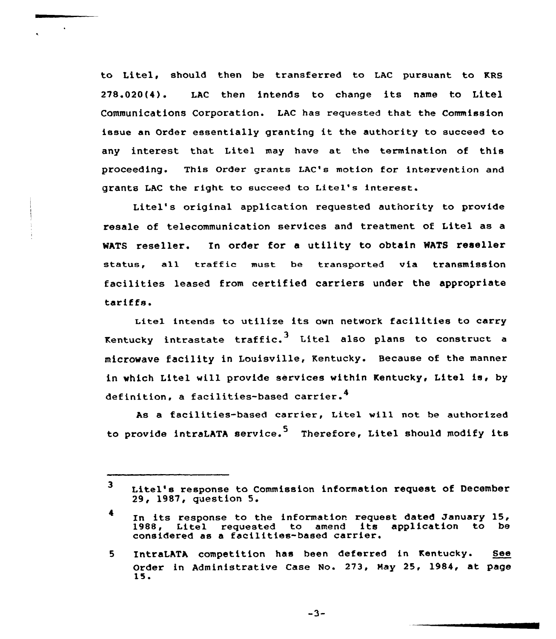to Litel, should then be transferred to LAC pursuant to KRS 278.020(4). LAC then intends to change its name to Litel Communications Corporation. LAC has requested that the Commission issue an Order essentially granting it the authority to succeed to any interest that Litel may have at the termination of this proceeding. This Order grants LAC's motion for intervention and grants LAC the right to succeed to Litel's interest.

Litel's original application requested authority to provide resale of telecommunication services and treatment of Litel as a MATS reseller. In order for <sup>a</sup> utility to obtain MATS reseller status, all traffic must be transported via transmission facilities leased from certified carriers under the appropriate tariffs.

Litel intends to utilize its own network facilities to carry Kentucky intrastate traffic. $^3$  Litel also plans to construct a microwave facility in Louisville, Kentucky. Because of the manner in which Litel will provide services within Kentucky, Litel is, by definition, a facilities-based carrier.<sup>4</sup>

As a facilities-based carrier, Litel will not be authorized to provide intraLATA service.<sup>5</sup> Therefore, Litel should modify its

 $-3-$ 

<sup>3</sup> Litel's response to Commission information request of December 29, 1987, question 5.

<sup>4</sup> In its response to the information request dated January 15, 1988, Litel requested to amend its application to be considered as <sup>a</sup> facilities-based carrier.

<sup>5</sup> IntraLATA competition has been deferred in Kentucky. See Order in Administrative Case No. 273, Nay 25, 1984, at page 15.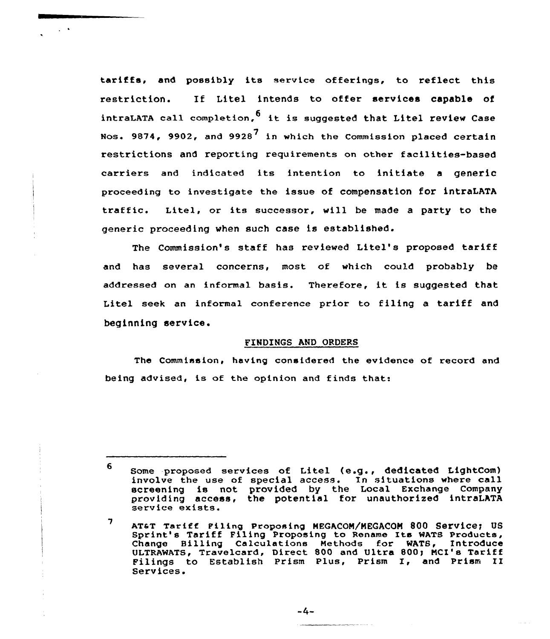tariffs, and possibly its service offerings, to reflect this restriction. If Litel intends to offer services capable of intraLATA call completion,  $6$  it is suggested that Litel review Case Nos. 9874, 9902, and 9928<sup>7</sup> in which the Commission placed certain restrictions and reporting requirements on other facilities-based carriers and indicated its intention to initiate <sup>a</sup> generic proceeding to investigate the issue of compensation fOr intraLATA traffic. Litel, or its successor, will be made <sup>a</sup> party to the generic proceeding when such case is established.

 $\sim$   $\sim$ 

The Commission's staff has reviewed Litel's proposed tariff and has several concerns, most of which could probably be addressed on an informal basis. Therefore, it is suggested that Litel seek an informal conference prior to filing a tariff and beginning service.

### FINDINGS AND ORDERS

The Commission, having considered the evidence of record and being advised, is of the opinion and finds that:

<sup>6</sup> Some proposed services of Litel (e.g., dedicated LightCom) involve the use of special access. In situations where call screening is not provided by the Local Exchange Company providing is not provided by the media Intransponsional service exists.

 $\overline{\phantom{a}}$ AT&T Tariff Filing Proposing MEGACOM/MEGACOM 800 Service; US Sprint's Tariff Filing Proposing to Rename Its WATS Products, Change Billing Calculations Methods for WATS, Introduce ULTRAWATS, Travelcard, Direct 800 and Ultra 800; MCI's Tariff Filings to Establish Prism Plus, Prism I, and Prism II Services.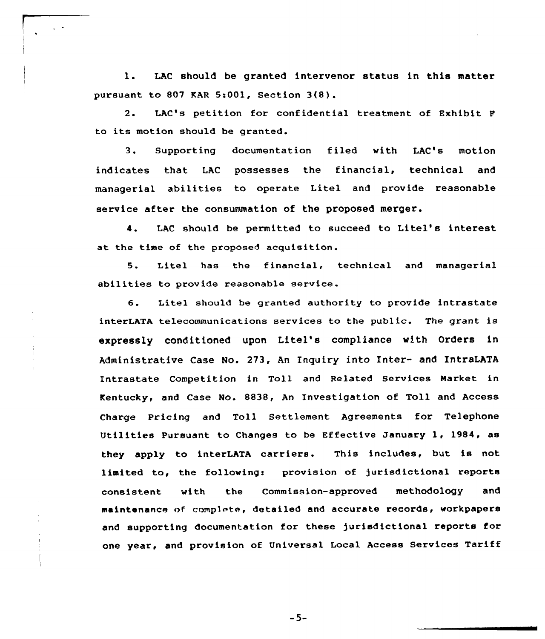l. LAC should be granted intervenor status in this matter pursuant to 807 KAR 5:001, Section  $3(8)$ .

2. LAC's petition for confidential treatment of Exhibit <sup>F</sup> to its motion should be granted.

3. Supporting documentation filed with LAC's motion indicates that LAC possesses the financial, technical and managerial abilities to operate Litel and provide reasonable service after the consummation of the proposed merger.

4. LAC should be permitted to succeed to Litel's interest at the time of the proposed acquisition.

5. Litel has the financial, technical and managerial abilities to provide reasonable service.

6. Litel should be granted authority to provide intrastate interLATA telecommunications services to the public. The grant is expressly conditioned upon Litel's compliance with Orders in Administrative Case No. 273, An Inquiry into Inter- and IntraLATA Intrastate Competition in Toll and Related Services Harket in Kentucky, and Case No. 8838, An Investigation of Toll and Access Charge Pricing and Toll Settlement Agreements for Telephone Utilities Pursuant to Changes to be Effective January 1, 1984, as they apply to interLATA carriers. This includes, but is not limited to, the following: provision of jurisdictional reports consistent with the Commission-approved methodology and maintenance of complete, detailed and accurate records, workpapers and supporting documentation for these jurisdictional reports for one year, and provision of Universal Local Access Services Tariff

-5-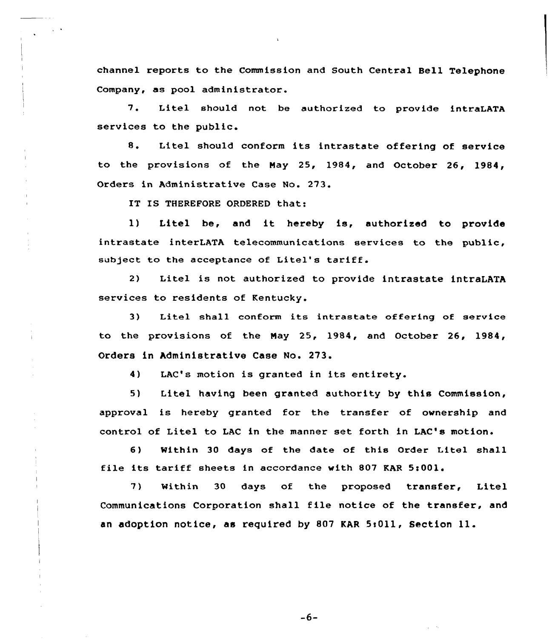channel reports to the Commission and South Central Bell Telephone Company, as pool administrator.

7. Litel should not be authorized to provide intraLATA services to the public.

8. Litel should conform its intrastate offering of service to the provisions of the Hay 25, 1984, and October 26, 1984, Orders in Administrative Case No. 273.

IT IS THEREFORE ORDERED that:

1) Litel be, and it hereby is, authorized to provide intrastate interLATA telecommunications services to the public. subject to the acceptance of Litel's tariff.

2) Litel is not authorized to provide intrastate intraLATA services to residents of Kentucky.

3) Litel shall conform its intrastate offering of service to the provisions of the Nay 25, 1984, and October 26, 1984, Orders in Administrative Case No. 273.

4) LAC's motion is granted in its entirety.

5) Litel having been granted authority by this Commission, approval is hereby granted for the transfer of ownership and control of Litel to LAC in the manner set forth in LAC's motion.

6) Within 30 days of the date of this Order Litel shall file its tariff sheets in accordance with 807 KAR 5:001.

7) Within 30 days of the proposed transfer, Litel Communications Corporation shall file notice of the transfer, and an adoption notice, as required by 807 KAR 5:011, Section 11.

 $-6-$